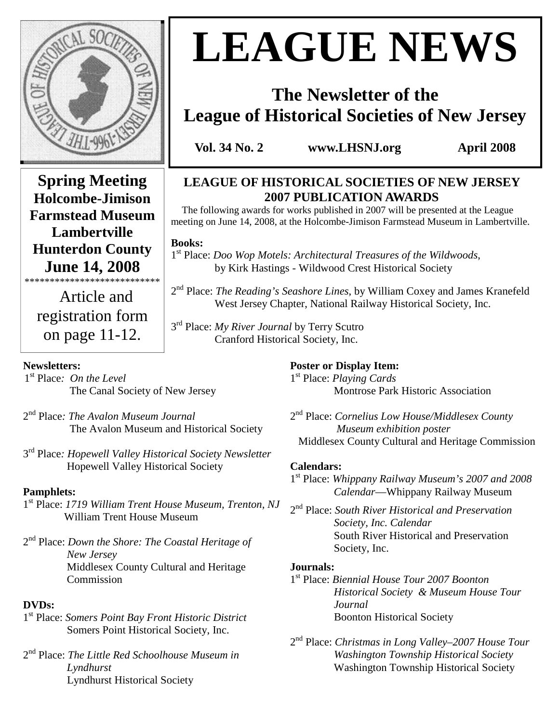

**Holcombe-Jimison Farmstead Museum Lambertville Hunterdon County June 14, 2008**  \*\*\*\*\*\*\*\*\*\*\*\*\*\*\*\*\*\*\*\*\*\*\*\*\*\*\* Article and

on page 11-12.

# **LEAGUE NEWS**

## **The Newsletter of the League of Historical Societies of New Jersey**

**Vol. 34 No. 2 www.LHSNJ.org April 2008** 

## **LEAGUE OF HISTORICAL SOCIETIES OF NEW JERSEY 2007 PUBLICATION AWARDS**

 The following awards for works published in 2007 will be presented at the League meeting on June 14, 2008, at the Holcombe-Jimison Farmstead Museum in Lambertville.

**Books:**

1 st Place: *Doo Wop Motels: Architectural Treasures of the Wildwoods*, by Kirk Hastings - Wildwood Crest Historical Society

registration form 2 nd Place: *The Reading's Seashore Lines*, by William Coxey and James Kranefeld West Jersey Chapter, National Railway Historical Society, Inc.

3 rd Place: *My River Journal* by Terry Scutro Cranford Historical Society, Inc.

#### **Newsletters:**

- 1 st Place*: On the Level* The Canal Society of New Jersey
- 2 nd Place*: The Avalon Museum Journal*  The Avalon Museum and Historical Society
- 3 rd Place*: Hopewell Valley Historical Society Newsletter*  **Hopewell Valley Historical Society**

#### **Pamphlets:**

- 1 st Place: *1719 William Trent House Museum, Trenton, NJ* William Trent House Museum
- 2 nd Place: *Down the Shore: The Coastal Heritage of New Jersey* Middlesex County Cultural and Heritage **Commission**

#### **DVDs:**

- 1 st Place: *Somers Point Bay Front Historic District*  Somers Point Historical Society, Inc.
- 2 nd Place: *The Little Red Schoolhouse Museum in Lyndhurst*  **Lyndhurst Historical Society**

#### **Poster or Display Item:**

1 st Place: *Playing Cards* Montrose Park Historic Association

2 nd Place: *Cornelius Low House/Middlesex County Museum exhibition poster*  Middlesex County Cultural and Heritage Commission

#### **Calendars:**

1 st Place: *Whippany Railway Museum's 2007 and 2008 Calendar*—Whippany Railway Museum

2 nd Place: *South River Historical and Preservation Society, Inc. Calendar*  **South River Historical and Preservation** Society, Inc.

#### **Journals:**

1 st Place: *Biennial House Tour 2007 Boonton Historical Society & Museum House Tour Journal*  Boonton Historical Society

2 nd Place: *Christmas in Long Valley–2007 House Tour Washington Township Historical Society* Washington Township Historical Society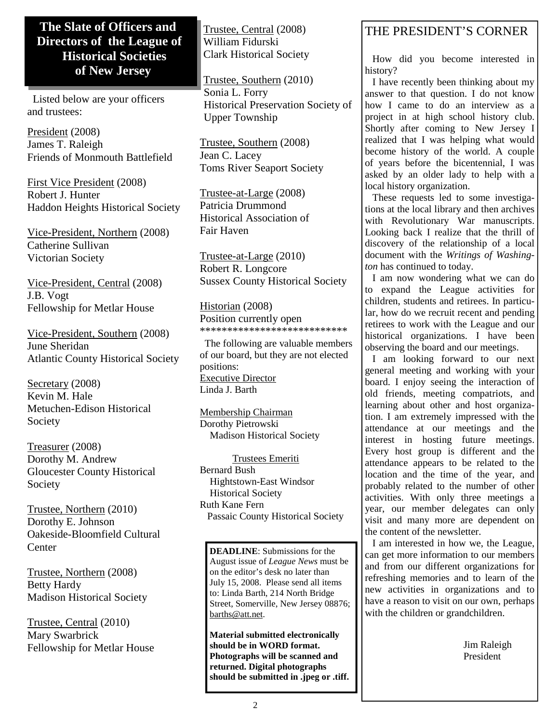### **The Slate of Officers and Directors of the League of Historical Societies of New Jersey**

 Listed below are your officers and trustees:

President (2008) James T. Raleigh Friends of Monmouth Battlefield

First Vice President (2008) Robert J. Hunter Haddon Heights Historical Society

Vice-President, Northern (2008) Catherine Sullivan Victorian Society

Vice-President, Central (2008) J.B. Vogt Fellowship for Metlar House

Vice-President, Southern (2008) June Sheridan Atlantic County Historical Society

Secretary (2008) Kevin M. Hale Metuchen-Edison Historical Society

Treasurer (2008) Dorothy M. Andrew Gloucester County Historical Society

Trustee, Northern (2010) Dorothy E. Johnson Oakeside-Bloomfield Cultural **Center** 

Trustee, Northern (2008) Betty Hardy Madison Historical Society

Trustee, Central (2010) Mary Swarbrick Fellowship for Metlar House Trustee, Central (2008) William Fidurski Clark Historical Society

Trustee, Southern (2010) Sonia L. Forry Historical Preservation Society of Upper Township

Trustee, Southern (2008) Jean C. Lacey Toms River Seaport Society

Trustee-at-Large (2008) Patricia Drummond Historical Association of Fair Haven

Trustee-at-Large (2010) Robert R. Longcore Sussex County Historical Society

Historian (2008) Position currently open \*\*\*\*\*\*\*\*\*\*\*\*\*\*\*\*\*\*\*\*\*\*\*\*\*\*\*

 The following are valuable members of our board, but they are not elected positions: Executive Director Linda J. Barth

Membership Chairman Dorothy Pietrowski Madison Historical Society

 Trustees Emeriti Bernard Bush Hightstown-East Windsor Historical Society Ruth Kane Fern Passaic County Historical Society

**DEADLINE**: Submissions for the August issue of *League News* must be on the editor's desk no later than July 15, 2008. Please send all items to: Linda Barth, 214 North Bridge Street, Somerville, New Jersey 08876; barths@att.net.

**Material submitted electronically should be in WORD format. Photographs will be scanned and returned. Digital photographs should be submitted in .jpeg or .tiff.** 

## THE PRESIDENT'S CORNER

 How did you become interested in history?

 I have recently been thinking about my answer to that question. I do not know how I came to do an interview as a project in at high school history club. Shortly after coming to New Jersey I realized that I was helping what would become history of the world. A couple of years before the bicentennial, I was asked by an older lady to help with a local history organization.

 These requests led to some investigations at the local library and then archives with Revolutionary War manuscripts. Looking back I realize that the thrill of discovery of the relationship of a local document with the *Writings of Washington* has continued to today.

 I am now wondering what we can do to expand the League activities for children, students and retirees. In particular, how do we recruit recent and pending retirees to work with the League and our historical organizations. I have been observing the board and our meetings.

 I am looking forward to our next general meeting and working with your board. I enjoy seeing the interaction of old friends, meeting compatriots, and learning about other and host organization. I am extremely impressed with the attendance at our meetings and the interest in hosting future meetings. Every host group is different and the attendance appears to be related to the location and the time of the year, and probably related to the number of other activities. With only three meetings a year, our member delegates can only visit and many more are dependent on the content of the newsletter.

 I am interested in how we, the League, can get more information to our members and from our different organizations for refreshing memories and to learn of the new activities in organizations and to have a reason to visit on our own, perhaps with the children or grandchildren.

> Jim Raleigh President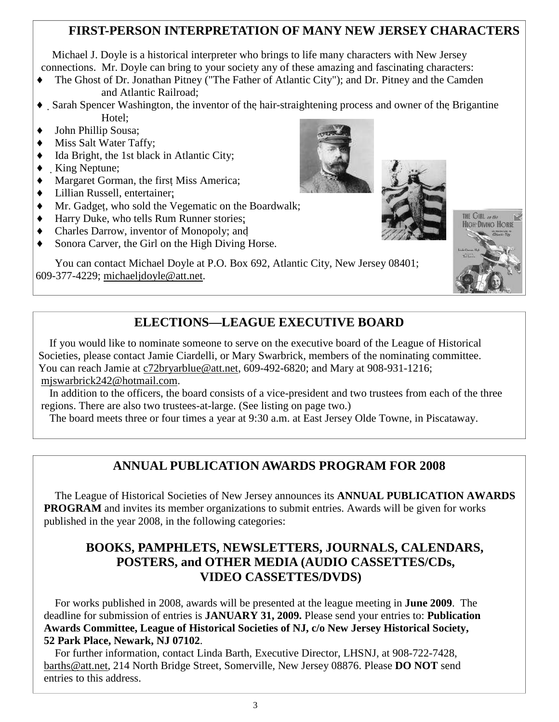## **FIRST-PERSON INTERPRETATION OF MANY NEW JERSEY CHARACTERS**

 Michael J. Doyle is a historical interpreter who brings to life many characters with New Jersey connections. Mr. Doyle can bring to your society any of these amazing and fascinating characters:

- ♦ The Ghost of Dr. Jonathan Pitney ("The Father of Atlantic City"); and Dr. Pitney and the Camden and Atlantic Railroad;
- ♦ Sarah Spencer Washington, the inventor of the hair-straightening process and owner of the Brigantine Hotel;
- ♦ John Phillip Sousa;
- Miss Salt Water Taffy;
- ♦ Ida Bright, the 1st black in Atlantic City;
- King Neptune;
- ♦ Margaret Gorman, the first Miss America;
- ♦ Lillian Russell, entertainer;
- ♦ Mr. Gadget, who sold the Vegematic on the Boardwalk;
- ♦ Harry Duke, who tells Rum Runner stories;
- ♦ Charles Darrow, inventor of Monopoly; and
- Sonora Carver, the Girl on the High Diving Horse.

 You can contact Michael Doyle at P.O. Box 692, Atlantic City, New Jersey 08401; 609-377-4229; michaeljdoyle@att.net.







## **ELECTIONS—LEAGUE EXECUTIVE BOARD**

 If you would like to nominate someone to serve on the executive board of the League of Historical Societies, please contact Jamie Ciardelli, or Mary Swarbrick, members of the nominating committee. You can reach Jamie at c72bryarblue@att.net, 609-492-6820; and Mary at 908-931-1216; mjswarbrick242@hotmail.com.

 In addition to the officers, the board consists of a vice-president and two trustees from each of the three regions. There are also two trustees-at-large. (See listing on page two.)

The board meets three or four times a year at 9:30 a.m. at East Jersey Olde Towne, in Piscataway.

## **ANNUAL PUBLICATION AWARDS PROGRAM FOR 2008**

 The League of Historical Societies of New Jersey announces its **ANNUAL PUBLICATION AWARDS PROGRAM** and invites its member organizations to submit entries. Awards will be given for works published in the year 2008, in the following categories:

## **BOOKS, PAMPHLETS, NEWSLETTERS, JOURNALS, CALENDARS, POSTERS, and OTHER MEDIA (AUDIO CASSETTES/CDs, VIDEO CASSETTES/DVDS)**

 For works published in 2008, awards will be presented at the league meeting in **June 2009**. The deadline for submission of entries is **JANUARY 31, 2009.** Please send your entries to: **Publication Awards Committee, League of Historical Societies of NJ, c/o New Jersey Historical Society, 52 Park Place, Newark, NJ 07102**.

 For further information, contact Linda Barth, Executive Director, LHSNJ, at 908-722-7428, barths@att.net, 214 North Bridge Street, Somerville, New Jersey 08876. Please **DO NOT** send entries to this address.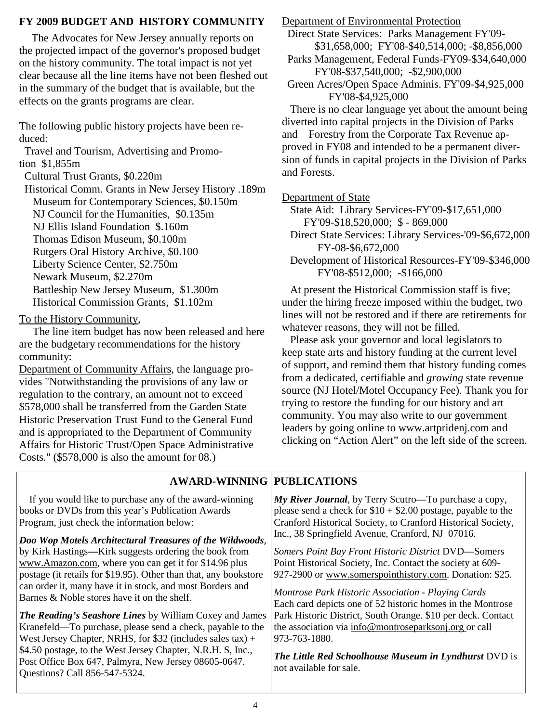#### **FY 2009 BUDGET AND HISTORY COMMUNITY**

 The Advocates for New Jersey annually reports on the projected impact of the governor's proposed budget on the history community. The total impact is not yet clear because all the line items have not been fleshed out in the summary of the budget that is available, but the effects on the grants programs are clear.

The following public history projects have been reduced:

 Travel and Tourism, Advertising and Promotion \$1,855m

Cultural Trust Grants, \$0.220m

 Historical Comm. Grants in New Jersey History .189m Museum for Contemporary Sciences, \$0.150m NJ Council for the Humanities, \$0.135m NJ Ellis Island Foundation \$.160m Thomas Edison Museum, \$0.100m Rutgers Oral History Archive, \$0.100 Liberty Science Center, \$2.750m Newark Museum, \$2.270m

 Battleship New Jersey Museum, \$1.300m Historical Commission Grants, \$1.102m

To the History Community,

 The line item budget has now been released and here are the budgetary recommendations for the history community:

Department of Community Affairs, the language provides "Notwithstanding the provisions of any law or regulation to the contrary, an amount not to exceed \$578,000 shall be transferred from the Garden State Historic Preservation Trust Fund to the General Fund and is appropriated to the Department of Community Affairs for Historic Trust/Open Space Administrative Costs." (\$578,000 is also the amount for 08.)

Department of Environmental Protection

 Direct State Services: Parks Management FY'09- \$31,658,000; FY'08-\$40,514,000; -\$8,856,000

 Parks Management, Federal Funds-FY09-\$34,640,000 FY'08-\$37,540,000; -\$2,900,000

 Green Acres/Open Space Adminis. FY'09-\$4,925,000 FY'08-\$4,925,000

 There is no clear language yet about the amount being diverted into capital projects in the Division of Parks and Forestry from the Corporate Tax Revenue approved in FY08 and intended to be a permanent diversion of funds in capital projects in the Division of Parks and Forests.

Department of State

 State Aid: Library Services-FY'09-\$17,651,000 FY'09-\$18,520,000; \$ - 869,000

 Direct State Services: Library Services-'09-\$6,672,000 FY-08-\$6,672,000

 Development of Historical Resources-FY'09-\$346,000 FY'08-\$512,000; -\$166,000

 At present the Historical Commission staff is five; under the hiring freeze imposed within the budget, two lines will not be restored and if there are retirements for whatever reasons, they will not be filled.

 Please ask your governor and local legislators to keep state arts and history funding at the current level of support, and remind them that history funding comes from a dedicated, certifiable and *growing* state revenue source (NJ Hotel/Motel Occupancy Fee). Thank you for trying to restore the funding for our history and art community. You may also write to our government leaders by going online to www.artpridenj.com and clicking on "Action Alert" on the left side of the screen.

#### **AWARD-WINNING PUBLICATIONS**

 If you would like to purchase any of the award-winning books or DVDs from this year's Publication Awards Program, just check the information below:

*Doo Wop Motels Architectural Treasures of the Wildwoods*, by Kirk Hastings*—*Kirk suggests ordering the book from www.Amazon.com, where you can get it for \$14.96 plus postage (it retails for \$19.95). Other than that, any bookstore can order it, many have it in stock, and most Borders and Barnes & Noble stores have it on the shelf.

*The Reading's Seashore Lines* by William Coxey and James Kranefeld—To purchase, please send a check, payable to the West Jersey Chapter, NRHS, for \$32 (includes sales tax) + \$4.50 postage, to the West Jersey Chapter, N.R.H. S, Inc., Post Office Box 647, Palmyra, New Jersey 08605-0647. Questions? Call 856-547-5324.

*My River Journal*, by Terry Scutro—To purchase a copy, please send a check for  $$10 + $2.00$  postage, payable to the Cranford Historical Society, to Cranford Historical Society, Inc., 38 Springfield Avenue, Cranford, NJ 07016.

*Somers Point Bay Front Historic District* DVD—Somers Point Historical Society, Inc. Contact the society at 609- 927-2900 or www.somerspointhistory.com. Donation: \$25.

*Montrose Park Historic Association - Playing Cards* Each card depicts one of 52 historic homes in the Montrose Park Historic District, South Orange. \$10 per deck. Contact the association via info@montroseparksonj.org or call 973-763-1880.

*The Little Red Schoolhouse Museum in Lyndhurst* DVD is not available for sale.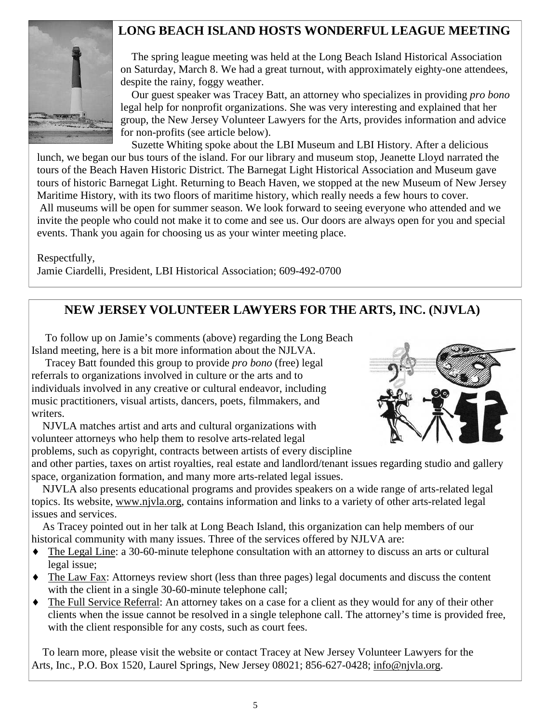## **LONG BEACH ISLAND HOSTS WONDERFUL LEAGUE MEETING**



 The spring league meeting was held at the Long Beach Island Historical Association on Saturday, March 8. We had a great turnout, with approximately eighty-one attendees, despite the rainy, foggy weather.

 Our guest speaker was Tracey Batt, an attorney who specializes in providing *pro bono* legal help for nonprofit organizations. She was very interesting and explained that her group, the New Jersey Volunteer Lawyers for the Arts, provides information and advice for non-profits (see article below).

 Suzette Whiting spoke about the LBI Museum and LBI History. After a delicious lunch, we began our bus tours of the island. For our library and museum stop, Jeanette Lloyd narrated the tours of the Beach Haven Historic District. The Barnegat Light Historical Association and Museum gave tours of historic Barnegat Light. Returning to Beach Haven, we stopped at the new Museum of New Jersey Maritime History, with its two floors of maritime history, which really needs a few hours to cover. All museums will be open for summer season. We look forward to seeing everyone who attended and we invite the people who could not make it to come and see us. Our doors are always open for you and special events. Thank you again for choosing us as your winter meeting place.

Respectfully,

Jamie Ciardelli, President, LBI Historical Association; 609-492-0700

## **NEW JERSEY VOLUNTEER LAWYERS FOR THE ARTS, INC. (NJVLA)**

 To follow up on Jamie's comments (above) regarding the Long Beach Island meeting, here is a bit more information about the NJLVA.

 Tracey Batt founded this group to provide *pro bono* (free) legal referrals to organizations involved in culture or the arts and to individuals involved in any creative or cultural endeavor, including music practitioners, visual artists, dancers, poets, filmmakers, and writers.

 NJVLA matches artist and arts and cultural organizations with volunteer attorneys who help them to resolve arts-related legal problems, such as copyright, contracts between artists of every discipline



and other parties, taxes on artist royalties, real estate and landlord/tenant issues regarding studio and gallery space, organization formation, and many more arts-related legal issues.

 NJVLA also presents educational programs and provides speakers on a wide range of arts-related legal topics. Its website, www.njvla.org, contains information and links to a variety of other arts-related legal issues and services.

 As Tracey pointed out in her talk at Long Beach Island, this organization can help members of our historical community with many issues. Three of the services offered by NJLVA are:

- ♦ The Legal Line: a 30-60-minute telephone consultation with an attorney to discuss an arts or cultural legal issue;
- ♦ The Law Fax: Attorneys review short (less than three pages) legal documents and discuss the content with the client in a single 30-60-minute telephone call;
- The Full Service Referral: An attorney takes on a case for a client as they would for any of their other clients when the issue cannot be resolved in a single telephone call. The attorney's time is provided free, with the client responsible for any costs, such as court fees.

 To learn more, please visit the website or contact Tracey at New Jersey Volunteer Lawyers for the Arts, Inc., P.O. Box 1520, Laurel Springs, New Jersey 08021; 856-627-0428; info@njvla.org.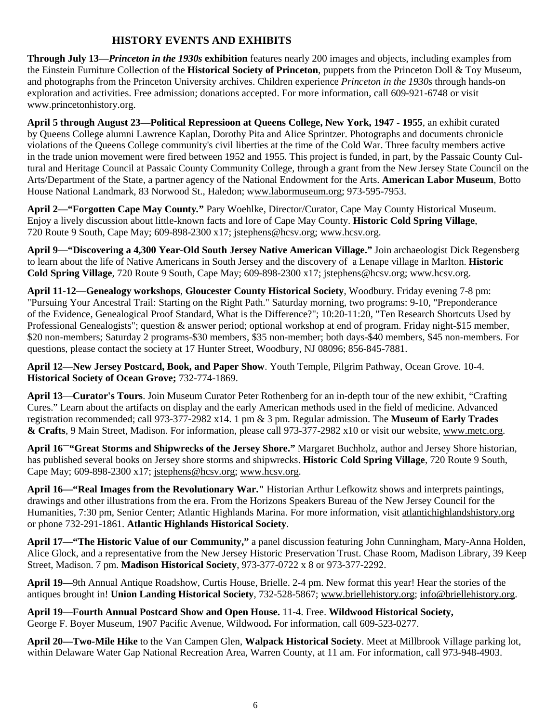#### **HISTORY EVENTS AND EXHIBITS**

**Through July 13**—*Princeton in the 1930s* **exhibition** features nearly 200 images and objects, including examples from the Einstein Furniture Collection of the **Historical Society of Princeton**, puppets from the Princeton Doll & Toy Museum, and photographs from the Princeton University archives. Children experience *Princeton in the 1930s* through hands-on exploration and activities. Free admission; donations accepted. For more information, call 609-921-6748 or visit www.princetonhistory.org.

**April 5 through August 23—Political Repressioon at Queens College, New York, 1947 - 1955**, an exhibit curated by Queens College alumni Lawrence Kaplan, Dorothy Pita and Alice Sprintzer. Photographs and documents chronicle violations of the Queens College community's civil liberties at the time of the Cold War. Three faculty members active in the trade union movement were fired between 1952 and 1955. This project is funded, in part, by the Passaic County Cultural and Heritage Council at Passaic County Community College, through a grant from the New Jersey State Council on the Arts/Department of the State, a partner agency of the National Endowment for the Arts. **American Labor Museum**, Botto House National Landmark, 83 Norwood St., Haledon; www.labormuseum.org; 973-595-7953.

**April 2—"Forgotten Cape May County***.***"** Pary Woehlke, Director/Curator, Cape May County Historical Museum. Enjoy a lively discussion about little-known facts and lore of Cape May County. **Historic Cold Spring Village**, 720 Route 9 South, Cape May; 609-898-2300 x17; jstephens@hcsv.org; www.hcsv.org.

**April 9—"Discovering a 4,300 Year-Old South Jersey Native American Village."** Join archaeologist Dick Regensberg to learn about the life of Native Americans in South Jersey and the discovery of a Lenape village in Marlton. **Historic Cold Spring Village**, 720 Route 9 South, Cape May; 609-898-2300 x17; jstephens@hcsv.org; www.hcsv.org.

**April 11-12—Genealogy workshops**, **Gloucester County Historical Society**, Woodbury. Friday evening 7-8 pm: "Pursuing Your Ancestral Trail: Starting on the Right Path." Saturday morning, two programs: 9-10, "Preponderance of the Evidence, Genealogical Proof Standard, What is the Difference?"; 10:20-11:20, "Ten Research Shortcuts Used by Professional Genealogists"; question & answer period; optional workshop at end of program. Friday night-\$15 member, \$20 non-members; Saturday 2 programs-\$30 members, \$35 non-member; both days-\$40 members, \$45 non-members. For questions, please contact the society at 17 Hunter Street, Woodbury, NJ 08096; 856-845-7881.

**April 12**—**New Jersey Postcard, Book, and Paper Show**. Youth Temple, Pilgrim Pathway, Ocean Grove. 10-4. **Historical Society of Ocean Grove;** 732-774-1869.

**April 13**—**Curator's Tours**. Join Museum Curator Peter Rothenberg for an in-depth tour of the new exhibit, "Crafting Cures." Learn about the artifacts on display and the early American methods used in the field of medicine. Advanced registration recommended; call 973-377-2982 x14. 1 pm & 3 pm. Regular admission. The **Museum of Early Trades & Crafts**, 9 Main Street, Madison. For information, please call 973-377-2982 x10 or visit our website, www.metc.org.

**April 16—"Great Storms and Shipwrecks of the Jersey Shore."** Margaret Buchholz, author and Jersey Shore historian, has published several books on Jersey shore storms and shipwrecks. **Historic Cold Spring Village**, 720 Route 9 South, Cape May; 609-898-2300 x17; jstephens@hcsv.org; www.hcsv.org.

**April 16—"Real Images from the Revolutionary War."** Historian Arthur Lefkowitz shows and interprets paintings, drawings and other illustrations from the era. From the Horizons Speakers Bureau of the New Jersey Council for the Humanities, 7:30 pm, Senior Center; Atlantic Highlands Marina. For more information, visit atlantichighlandshistory.org or phone 732-291-1861. **Atlantic Highlands Historical Society**.

**April 17—"The Historic Value of our Community,"** a panel discussion featuring John Cunningham, Mary-Anna Holden, Alice Glock, and a representative from the New Jersey Historic Preservation Trust. Chase Room, Madison Library, 39 Keep Street, Madison. 7 pm. **Madison Historical Society**, 973-377-0722 x 8 or 973-377-2292.

**April 19—**9th Annual Antique Roadshow, Curtis House, Brielle. 2-4 pm. New format this year! Hear the stories of the antiques brought in! **Union Landing Historical Society**, 732-528-5867; www.briellehistory.org; info@briellehistory.org.

**April 19—Fourth Annual Postcard Show and Open House.** 11-4. Free. **Wildwood Historical Society,**  George F. Boyer Museum, 1907 Pacific Avenue, Wildwood**.** For information, call 609-523-0277.

**April 20—Two-Mile Hike** to the Van Campen Glen, **Walpack Historical Society**. Meet at Millbrook Village parking lot, within Delaware Water Gap National Recreation Area, Warren County, at 11 am. For information, call 973-948-4903.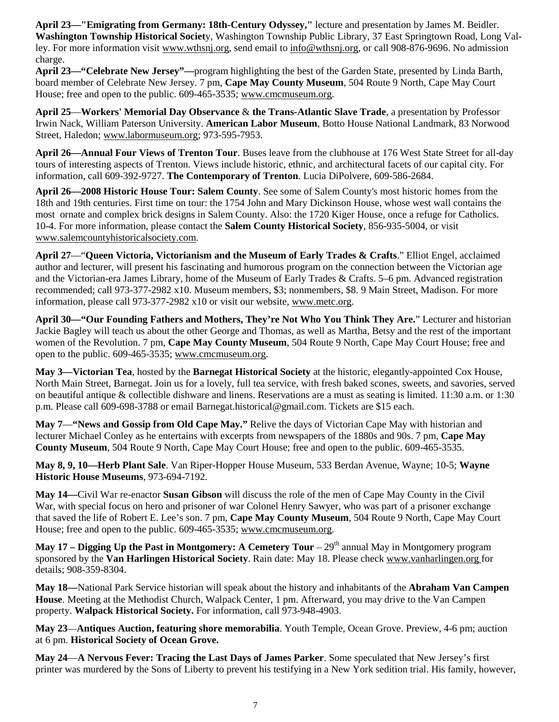**April 23—"Emigrating from Germany: 18th-Century Odyssey,"** lecture and presentation by James M. Beidler. **Washington Township Historical Societ**y, Washington Township Public Library, 37 East Springtown Road, Long Valley. For more information visit www.wthsnj.org, send email to info@wthsnj.org, or call 908-876-9696. No admission charge.

**April 23—"Celebrate New Jersey"—**program highlighting the best of the Garden State, presented by Linda Barth, board member of Celebrate New Jersey. 7 pm, **Cape May County Museum**, 504 Route 9 North, Cape May Court House; free and open to the public. 609-465-3535; www.cmcmuseum.org.

**April 25**—**Workers' Memorial Day Observance** & **the Trans-Atlantic Slave Trade**, a presentation by Professor Irwin Nack, William Paterson University. **American Labor Museum**, Botto House National Landmark, 83 Norwood Street, Haledon; www.labormuseum.org; 973-595-7953.

**April 26—Annual Four Views of Trenton Tour**. Buses leave from the clubhouse at 176 West State Street for all-day tours of interesting aspects of Trenton. Views include historic, ethnic, and architectural facets of our capital city. For information, call 609-392-9727. **The Contemporary of Trenton**. Lucia DiPolvere, 609-586-2684.

**April 26—2008 Historic House Tour: Salem County**. See some of Salem County's most historic homes from the 18th and 19th centuries. First time on tour: the 1754 John and Mary Dickinson House, whose west wall contains the most ornate and complex brick designs in Salem County. Also: the 1720 Kiger House, once a refuge for Catholics. 10-4. For more information, please contact the **Salem County Historical Society**, 856-935-5004, or visit www.salemcountyhistoricalsociety.com.

**April 27**—"**Queen Victoria, Victorianism and the Museum of Early Trades & Crafts**." Elliot Engel, acclaimed author and lecturer, will present his fascinating and humorous program on the connection between the Victorian age and the Victorian-era James Library, home of the Museum of Early Trades & Crafts. 5–6 pm. Advanced registration recommended; call 973-377-2982 x10. Museum members, \$3; nonmembers, \$8. 9 Main Street, Madison. For more information, please call 973-377-2982 x10 or visit our website, www.metc.org.

**April 30—"Our Founding Fathers and Mothers, They're Not Who You Think They Are.**" Lecturer and historian Jackie Bagley will teach us about the other George and Thomas, as well as Martha, Betsy and the rest of the important women of the Revolution. 7 pm, **Cape May County Museum**, 504 Route 9 North, Cape May Court House; free and open to the public. 609-465-3535; www.cmcmuseum.org.

**May 3—Victorian Tea**, hosted by the **Barnegat Historical Society** at the historic, elegantly-appointed Cox House, North Main Street, Barnegat. Join us for a lovely, full tea service, with fresh baked scones, sweets, and savories, served on beautiful antique & collectible dishware and linens. Reservations are a must as seating is limited. 11:30 a.m. or 1:30 p.m. Please call 609-698-3788 or email Barnegat.historical@gmail.com. Tickets are \$15 each.

**May 7**—**"News and Gossip from Old Cape May."** Relive the days of Victorian Cape May with historian and lecturer Michael Conley as he entertains with excerpts from newspapers of the 1880s and 90s. 7 pm, **Cape May County Museum**, 504 Route 9 North, Cape May Court House; free and open to the public. 609-465-3535.

**May 8, 9, 10—Herb Plant Sale**. Van Riper-Hopper House Museum, 533 Berdan Avenue, Wayne; 10-5; **Wayne Historic House Museums**, 973-694-7192.

**May 14—**Civil War re-enactor **Susan Gibson** will discuss the role of the men of Cape May County in the Civil War, with special focus on hero and prisoner of war Colonel Henry Sawyer, who was part of a prisoner exchange that saved the life of Robert E. Lee's son. 7 pm, **Cape May County Museum**, 504 Route 9 North, Cape May Court House; free and open to the public. 609-465-3535; www.cmcmuseum.org.

**May 17 – Digging Up the Past in Montgomery: A Cemetery Tour** –  $29<sup>th</sup>$  annual May in Montgomery program sponsored by the **Van Harlingen Historical Society**. Rain date: May 18. Please check www.vanharlingen.org for details; 908-359-8304.

**May 18—**National Park Service historian will speak about the history and inhabitants of the **Abraham Van Campen House**. Meeting at the Methodist Church, Walpack Center, 1 pm. Afterward, you may drive to the Van Campen property. **Walpack Historical Society.** For information, call 973-948-4903.

**May 23**—**Antiques Auction, featuring shore memorabilia**. Youth Temple, Ocean Grove. Preview, 4-6 pm; auction at 6 pm. **Historical Society of Ocean Grove.** 

**May 24**—**A Nervous Fever: Tracing the Last Days of James Parker**. Some speculated that New Jersey's first printer was murdered by the Sons of Liberty to prevent his testifying in a New York sedition trial. His family, however,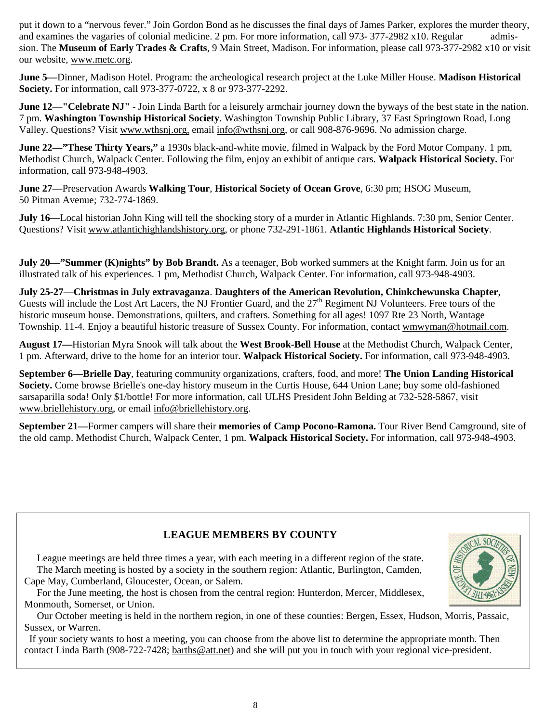put it down to a "nervous fever." Join Gordon Bond as he discusses the final days of James Parker, explores the murder theory, and examines the vagaries of colonial medicine. 2 pm. For more information, call 973- 377-2982 x10. Regular admission. The **Museum of Early Trades & Crafts**, 9 Main Street, Madison. For information, please call 973-377-2982 x10 or visit our website, www.metc.org.

**June 5—**Dinner, Madison Hotel. Program: the archeological research project at the Luke Miller House. **Madison Historical Society.** For information, call 973-377-0722, x 8 or 973-377-2292.

**June 12—"Celebrate NJ"** - Join Linda Barth for a leisurely armchair journey down the byways of the best state in the nation. 7 pm. **Washington Township Historical Society**. Washington Township Public Library, 37 East Springtown Road, Long Valley. Questions? Visit www.wthsnj.org, email info@wthsnj.org, or call 908-876-9696. No admission charge.

**June 22—"These Thirty Years,"** a 1930s black-and-white movie, filmed in Walpack by the Ford Motor Company. 1 pm, Methodist Church, Walpack Center. Following the film, enjoy an exhibit of antique cars. **Walpack Historical Society.** For information, call 973-948-4903.

**June 27**—Preservation Awards **Walking Tour**, **Historical Society of Ocean Grove**, 6:30 pm; HSOG Museum, 50 Pitman Avenue; 732-774-1869.

**July 16—Local historian John King will tell the shocking story of a murder in Atlantic Highlands. 7:30 pm, Senior Center.** Questions? Visit www.atlantichighlandshistory.org, or phone 732-291-1861. **Atlantic Highlands Historical Society**.

**July 20—"Summer (K)nights" by Bob Brandt.** As a teenager, Bob worked summers at the Knight farm. Join us for an illustrated talk of his experiences. 1 pm, Methodist Church, Walpack Center. For information, call 973-948-4903.

**July 25-27**—**Christmas in July extravaganza**. **Daughters of the American Revolution, Chinkchewunska Chapter**, Guests will include the Lost Art Lacers, the NJ Frontier Guard, and the  $27<sup>th</sup>$  Regiment NJ Volunteers. Free tours of the historic museum house. Demonstrations, quilters, and crafters. Something for all ages! 1097 Rte 23 North, Wantage Township. 11-4. Enjoy a beautiful historic treasure of Sussex County. For information, contact wmwyman@hotmail.com.

**August 17—**Historian Myra Snook will talk about the **West Brook-Bell House** at the Methodist Church, Walpack Center, 1 pm. Afterward, drive to the home for an interior tour. **Walpack Historical Society.** For information, call 973-948-4903.

**September 6—Brielle Day**, featuring community organizations, crafters, food, and more! **The Union Landing Historical Society.** Come browse Brielle's one-day history museum in the Curtis House, 644 Union Lane; buy some old-fashioned sarsaparilla soda! Only \$1/bottle! For more information, call ULHS President John Belding at 732-528-5867, visit www.briellehistory.org, or email info@briellehistory.org.

**September 21—**Former campers will share their **memories of Camp Pocono-Ramona.** Tour River Bend Camground, site of the old camp. Methodist Church, Walpack Center, 1 pm. **Walpack Historical Society.** For information, call 973-948-4903.

#### **LEAGUE MEMBERS BY COUNTY**

 League meetings are held three times a year, with each meeting in a different region of the state. The March meeting is hosted by a society in the southern region: Atlantic, Burlington, Camden, Cape May, Cumberland, Gloucester, Ocean, or Salem.

 For the June meeting, the host is chosen from the central region: Hunterdon, Mercer, Middlesex, Monmouth, Somerset, or Union.

 Our October meeting is held in the northern region, in one of these counties: Bergen, Essex, Hudson, Morris, Passaic, Sussex, or Warren.

 If your society wants to host a meeting, you can choose from the above list to determine the appropriate month. Then contact Linda Barth (908-722-7428; barths@att.net) and she will put you in touch with your regional vice-president.

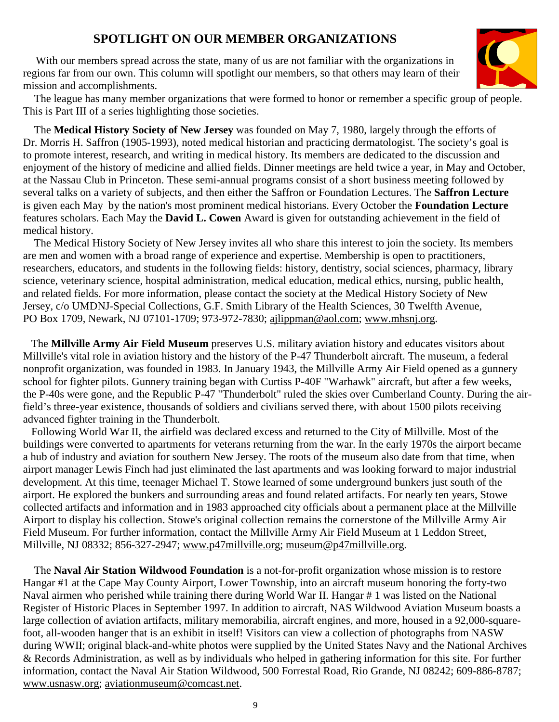## **SPOTLIGHT ON OUR MEMBER ORGANIZATIONS**

With our members spread across the state, many of us are not familiar with the organizations in regions far from our own. This column will spotlight our members, so that others may learn of their mission and accomplishments.



 The league has many member organizations that were formed to honor or remember a specific group of people. This is Part III of a series highlighting those societies. Ĵ

 The **Medical History Society of New Jersey** was founded on May 7, 1980, largely through the efforts of Dr. Morris H. Saffron (1905-1993), noted medical historian and practicing dermatologist. The society's goal is to promote interest, research, and writing in medical history. Its members are dedicated to the discussion and enjoyment of the history of medicine and allied fields. Dinner meetings are held twice a year, in May and October, at the Nassau Club in Princeton. These semi-annual programs consist of a short business meeting followed by several talks on a variety of subjects, and then either the Saffron or Foundation Lectures. The **Saffron Lecture** is given each May by the nation's most prominent medical historians. Every October the **Foundation Lecture**  features scholars. Each May the **David L. Cowen** Award is given for outstanding achievement in the field of medical history.

 The Medical History Society of New Jersey invites all who share this interest to join the society. Its members are men and women with a broad range of experience and expertise. Membership is open to practitioners, researchers, educators, and students in the following fields: history, dentistry, social sciences, pharmacy, library science, veterinary science, hospital administration, medical education, medical ethics, nursing, public health, and related fields. For more information, please contact the society at the Medical History Society of New Jersey, c/o UMDNJ-Special Collections, G.F. Smith Library of the Health Sciences, 30 Twelfth Avenue, PO Box 1709, Newark, NJ 07101-1709; 973-972-7830; ajlippman@aol.com; www.mhsnj.org.

 The **Millville Army Air Field Museum** preserves U.S. military aviation history and educates visitors about Millville's vital role in aviation history and the history of the P-47 Thunderbolt aircraft. The museum, a federal nonprofit organization, was founded in 1983. In January 1943, the Millville Army Air Field opened as a gunnery school for fighter pilots. Gunnery training began with Curtiss P-40F "Warhawk" aircraft, but after a few weeks, the P-40s were gone, and the Republic P-47 "Thunderbolt" ruled the skies over Cumberland County. During the airfield's three-year existence, thousands of soldiers and civilians served there, with about 1500 pilots receiving advanced fighter training in the Thunderbolt.

 Following World War II, the airfield was declared excess and returned to the City of Millville. Most of the buildings were converted to apartments for veterans returning from the war. In the early 1970s the airport became a hub of industry and aviation for southern New Jersey. The roots of the museum also date from that time, when airport manager Lewis Finch had just eliminated the last apartments and was looking forward to major industrial development. At this time, teenager Michael T. Stowe learned of some underground bunkers just south of the airport. He explored the bunkers and surrounding areas and found related artifacts. For nearly ten years, Stowe collected artifacts and information and in 1983 approached city officials about a permanent place at the Millville Airport to display his collection. Stowe's original collection remains the cornerstone of the Millville Army Air Field Museum. For further information, contact the Millville Army Air Field Museum at 1 Leddon Street, Millville, NJ 08332; 856-327-2947; www.p47millville.org; museum@p47millville.org.

 The **Naval Air Station Wildwood Foundation** is a not-for-profit organization whose mission is to restore Hangar #1 at the Cape May County Airport, Lower Township, into an aircraft museum honoring the forty-two Naval airmen who perished while training there during World War II. Hangar # 1 was listed on the National Register of Historic Places in September 1997. In addition to aircraft, NAS Wildwood Aviation Museum boasts a large collection of aviation artifacts, military memorabilia, aircraft engines, and more, housed in a 92,000-squarefoot, all-wooden hanger that is an exhibit in itself! Visitors can view a collection of photographs from NASW during WWII; original black-and-white photos were supplied by the United States Navy and the National Archives & Records Administration, as well as by individuals who helped in gathering information for this site. For further information, contact the Naval Air Station Wildwood, 500 Forrestal Road, Rio Grande, NJ 08242; 609-886-8787; www.usnasw.org; aviationmuseum@comcast.net.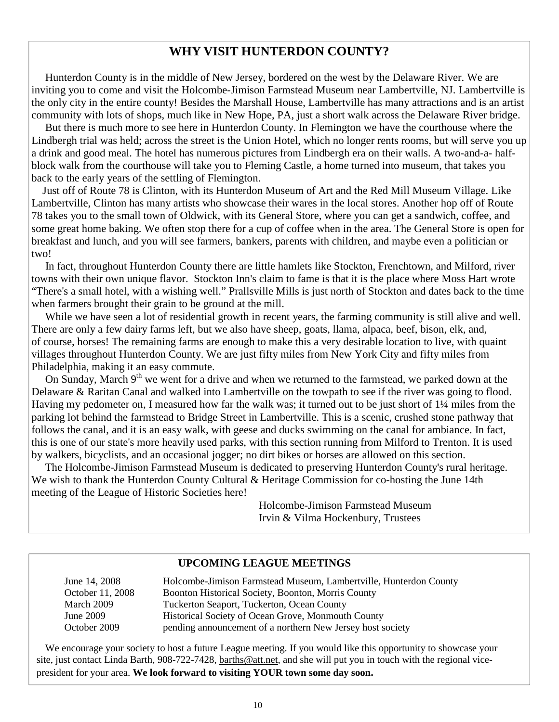#### **WHY VISIT HUNTERDON COUNTY?**

 Hunterdon County is in the middle of New Jersey, bordered on the west by the Delaware River. We are inviting you to come and visit the Holcombe-Jimison Farmstead Museum near Lambertville, NJ. Lambertville is the only city in the entire county! Besides the Marshall House, Lambertville has many attractions and is an artist community with lots of shops, much like in New Hope, PA, just a short walk across the Delaware River bridge.

 But there is much more to see here in Hunterdon County. In Flemington we have the courthouse where the Lindbergh trial was held; across the street is the Union Hotel, which no longer rents rooms, but will serve you up a drink and good meal. The hotel has numerous pictures from Lindbergh era on their walls. A two-and-a- halfblock walk from the courthouse will take you to Fleming Castle, a home turned into museum, that takes you back to the early years of the settling of Flemington.

 Just off of Route 78 is Clinton, with its Hunterdon Museum of Art and the Red Mill Museum Village. Like Lambertville, Clinton has many artists who showcase their wares in the local stores. Another hop off of Route 78 takes you to the small town of Oldwick, with its General Store, where you can get a sandwich, coffee, and some great home baking. We often stop there for a cup of coffee when in the area. The General Store is open for breakfast and lunch, and you will see farmers, bankers, parents with children, and maybe even a politician or two!

 In fact, throughout Hunterdon County there are little hamlets like Stockton, Frenchtown, and Milford, river towns with their own unique flavor. Stockton Inn's claim to fame is that it is the place where Moss Hart wrote "There's a small hotel, with a wishing well." Prallsville Mills is just north of Stockton and dates back to the time when farmers brought their grain to be ground at the mill.

 While we have seen a lot of residential growth in recent years, the farming community is still alive and well. There are only a few dairy farms left, but we also have sheep, goats, llama, alpaca, beef, bison, elk, and, of course, horses! The remaining farms are enough to make this a very desirable location to live, with quaint villages throughout Hunterdon County. We are just fifty miles from New York City and fifty miles from Philadelphia, making it an easy commute.

On Sunday, March 9<sup>th</sup> we went for a drive and when we returned to the farmstead, we parked down at the Delaware & Raritan Canal and walked into Lambertville on the towpath to see if the river was going to flood. Having my pedometer on, I measured how far the walk was; it turned out to be just short of 1¼ miles from the parking lot behind the farmstead to Bridge Street in Lambertville. This is a scenic, crushed stone pathway that follows the canal, and it is an easy walk, with geese and ducks swimming on the canal for ambiance. In fact, this is one of our state's more heavily used parks, with this section running from Milford to Trenton. It is used by walkers, bicyclists, and an occasional jogger; no dirt bikes or horses are allowed on this section.

 The Holcombe-Jimison Farmstead Museum is dedicated to preserving Hunterdon County's rural heritage. We wish to thank the Hunterdon County Cultural & Heritage Commission for co-hosting the June 14th meeting of the League of Historic Societies here!

> Holcombe-Jimison Farmstead Museum Irvin & Vilma Hockenbury, Trustees

#### **UPCOMING LEAGUE MEETINGS**

| June 14, 2008    | Holcombe-Jimison Farmstead Museum, Lambertville, Hunterdon County |
|------------------|-------------------------------------------------------------------|
| October 11, 2008 | Boonton Historical Society, Boonton, Morris County                |
| March 2009       | Tuckerton Seaport, Tuckerton, Ocean County                        |
| June 2009        | Historical Society of Ocean Grove, Monmouth County                |
| October 2009     | pending announcement of a northern New Jersey host society        |

 We encourage your society to host a future League meeting. If you would like this opportunity to showcase your site, just contact Linda Barth, 908-722-7428, barths@att.net, and she will put you in touch with the regional vicepresident for your area. **We look forward to visiting YOUR town some day soon.**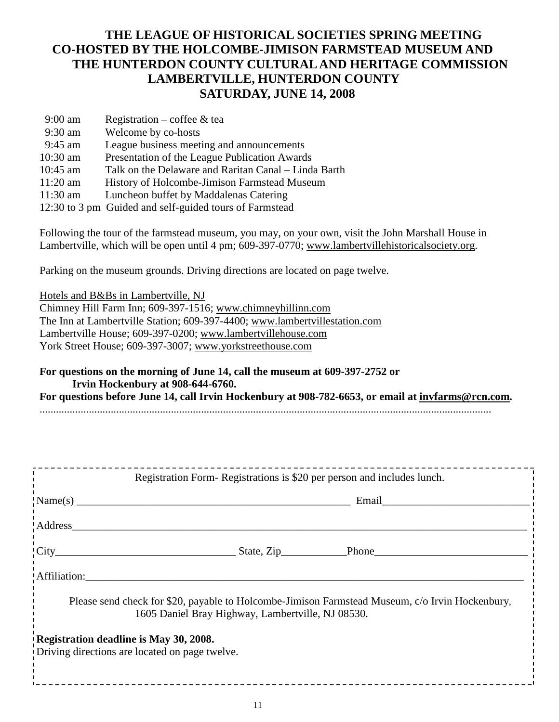## **THE LEAGUE OF HISTORICAL SOCIETIES SPRING MEETING CO-HOSTED BY THE HOLCOMBE-JIMISON FARMSTEAD MUSEUM AND THE HUNTERDON COUNTY CULTURAL AND HERITAGE COMMISSION LAMBERTVILLE, HUNTERDON COUNTY SATURDAY, JUNE 14, 2008**

| $9:00$ am  | Registration – coffee $\&$ tea                          |
|------------|---------------------------------------------------------|
| $9:30$ am  | Welcome by co-hosts                                     |
| $9:45$ am  | League business meeting and announcements               |
| 10:30 am   | Presentation of the League Publication Awards           |
| $10:45$ am | Talk on the Delaware and Raritan Canal – Linda Barth    |
| $11:20$ am | History of Holcombe-Jimison Farmstead Museum            |
| 11:30 am   | Luncheon buffet by Maddalenas Catering                  |
|            | 12:30 to 3 pm Guided and self-guided tours of Farmstead |

Following the tour of the farmstead museum, you may, on your own, visit the John Marshall House in Lambertville, which will be open until 4 pm; 609-397-0770; www.lambertvillehistoricalsociety.org.

Parking on the museum grounds. Driving directions are located on page twelve.

Hotels and B&Bs in Lambertville, NJ Chimney Hill Farm Inn; 609-397-1516; www.chimneyhillinn.com The Inn at Lambertville Station; 609-397-4400; www.lambertvillestation.com Lambertville House; 609-397-0200; www.lambertvillehouse.com York Street House; 609-397-3007; www.yorkstreethouse.com

**For questions on the morning of June 14, call the museum at 609-397-2752 or Irvin Hockenbury at 908-644-6760. For questions before June 14, call Irvin Hockenbury at 908-782-6653, or email at invfarms@rcn.com.**  .....................................................................................................................................................................

| Registration Form-Registrations is \$20 per person and includes lunch.                                                                               |  |  |  |  |  |  |
|------------------------------------------------------------------------------------------------------------------------------------------------------|--|--|--|--|--|--|
|                                                                                                                                                      |  |  |  |  |  |  |
|                                                                                                                                                      |  |  |  |  |  |  |
|                                                                                                                                                      |  |  |  |  |  |  |
| Affiliation:                                                                                                                                         |  |  |  |  |  |  |
| Please send check for \$20, payable to Holcombe-Jimison Farmstead Museum, c/o Irvin Hockenbury,<br>1605 Daniel Bray Highway, Lambertville, NJ 08530. |  |  |  |  |  |  |
| Registration deadline is May 30, 2008.<br>Driving directions are located on page twelve.                                                             |  |  |  |  |  |  |
|                                                                                                                                                      |  |  |  |  |  |  |